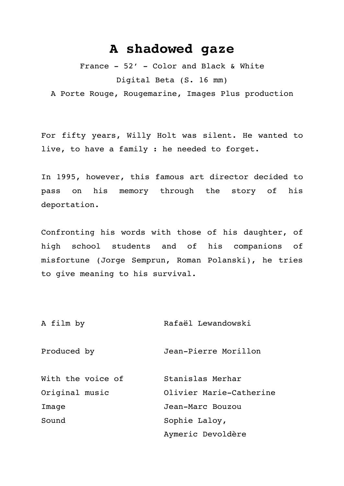## **A shadowed gaze**

France - 52' - Color and Black & White Digital Beta (S. 16 mm)

A Porte Rouge, Rougemarine, Images Plus production

For fifty years, Willy Holt was silent. He wanted to live, to have a family : he needed to forget.

In 1995, however, this famous art director decided to pass on his memory through the story of his deportation.

Confronting his words with those of his daughter, of high school students and of his companions of misfortune (Jorge Semprun, Roman Polanski), he tries to give meaning to his survival.

A film by Rafaël Lewandowski

Produced by Jean-Pierre Morillon

| With the voice of | Stanislas Merhar        |
|-------------------|-------------------------|
| Original music    | Olivier Marie-Catherine |
| Image             | Jean-Marc Bouzou        |
| Sound             | Sophie Laloy,           |
|                   | Aymeric Devoldère       |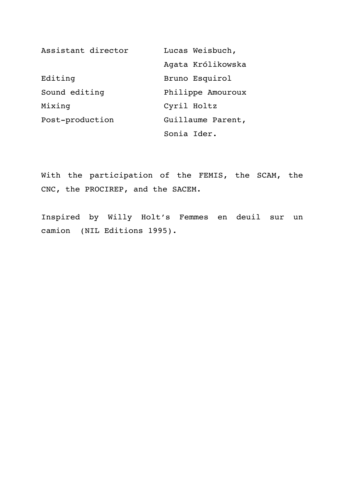| Assistant director | Lucas Weisbuch,   |
|--------------------|-------------------|
|                    | Agata Królikowska |
| Editing            | Bruno Esquirol    |
| Sound editing      | Philippe Amouroux |
| Mixing             | Cyril Holtz       |
| Post-production    | Guillaume Parent, |
|                    | Sonia Ider.       |

With the participation of the FEMIS, the SCAM, the CNC, the PROCIREP, and the SACEM.

Inspired by Willy Holt's Femmes en deuil sur un camion (NIL Editions 1995).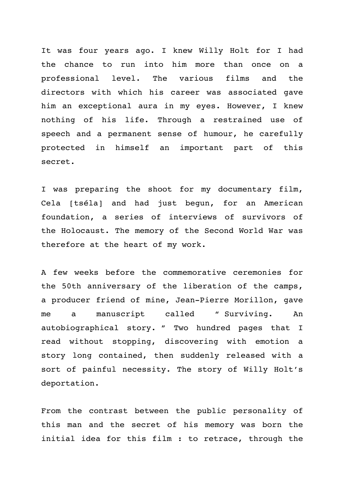It was four years ago. I knew Willy Holt for I had the chance to run into him more than once on a professional level. The various films and the directors with which his career was associated gave him an exceptional aura in my eyes. However, I knew nothing of his life. Through a restrained use of speech and a permanent sense of humour, he carefully protected in himself an important part of this secret.

I was preparing the shoot for my documentary film, Cela [tséla] and had just begun, for an American foundation, a series of interviews of survivors of the Holocaust. The memory of the Second World War was therefore at the heart of my work.

A few weeks before the commemorative ceremonies for the 50th anniversary of the liberation of the camps, a producer friend of mine, Jean-Pierre Morillon, gave me a manuscript called " Surviving. An autobiographical story. " Two hundred pages that I read without stopping, discovering with emotion a story long contained, then suddenly released with a sort of painful necessity. The story of Willy Holt's deportation.

From the contrast between the public personality of this man and the secret of his memory was born the initial idea for this film : to retrace, through the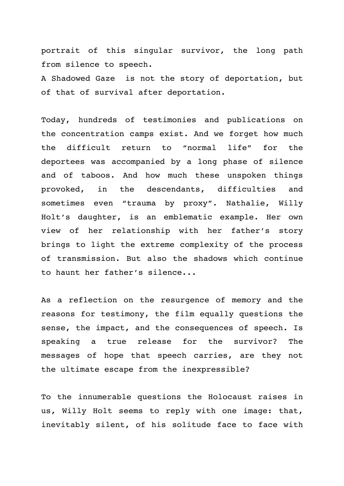portrait of this singular survivor, the long path from silence to speech.

A Shadowed Gaze is not the story of deportation, but of that of survival after deportation.

Today, hundreds of testimonies and publications on the concentration camps exist. And we forget how much the difficult return to "normal life" for the deportees was accompanied by a long phase of silence and of taboos. And how much these unspoken things provoked, in the descendants, difficulties and sometimes even "trauma by proxy". Nathalie, Willy Holt's daughter, is an emblematic example. Her own view of her relationship with her father's story brings to light the extreme complexity of the process of transmission. But also the shadows which continue to haunt her father's silence...

As a reflection on the resurgence of memory and the reasons for testimony, the film equally questions the sense, the impact, and the consequences of speech. Is speaking a true release for the survivor? The messages of hope that speech carries, are they not the ultimate escape from the inexpressible?

To the innumerable questions the Holocaust raises in us, Willy Holt seems to reply with one image: that, inevitably silent, of his solitude face to face with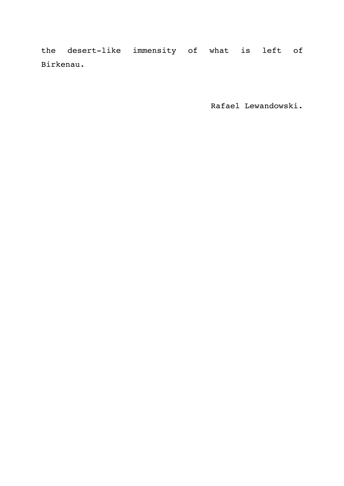the desert-like immensity of what is left of Birkenau.

Rafael Lewandowski.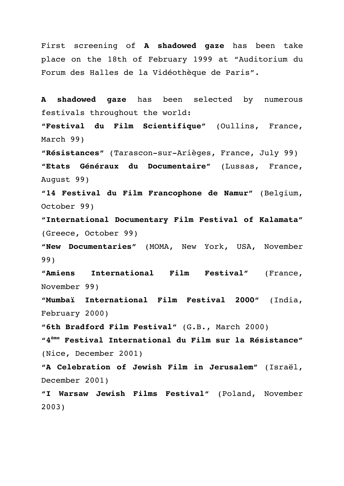First screening of **A shadowed gaze** has been take place on the 18th of February 1999 at "Auditorium du Forum des Halles de la Vidéothèque de Paris".

**A shadowed gaze** has been selected by numerous festivals throughout the world: **"Festival du Film Scientifique"** (Oullins, France, March 99) **"Résistances"** (Tarascon-sur-Arièges, France, July 99) **"Etats Généraux du Documentaire"** (Lussas, France, August 99) **"14 Festival du Film Francophone de Namur"** (Belgium, October 99) **"International Documentary Film Festival of Kalamata"** (Greece, October 99) **"New Documentaries"** (MOMA, New York, USA, November 99) **"Amiens International Film Festival"** (France, November 99) **"Mumbaï International Film Festival 2000"** (India, February 2000) **"6th Bradford Film Festival"** (G.B., March 2000) **"4ème Festival International du Film sur la Résistance"**  (Nice, December 2001) **"A Celebration of Jewish Film in Jerusalem"** (Israël, December 2001) **"I Warsaw Jewish Films Festival"** (Poland, November

2003)